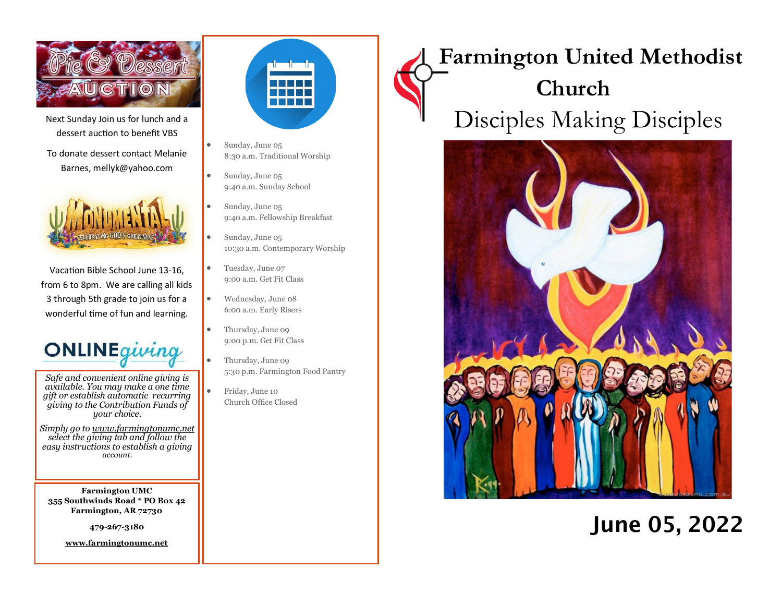

Next Sunday Join us for lunch and a dessert auction to benefit VBS

To donate dessert contact Melanie Barnes, mellyk@yahoo.com



Vacation Bible School June 13-16, from 6 to 8pm. We are calling all kids 3 through 5th grade to join us for a wonderful time of fun and learning.



*Safe and convenient online giving is available. You may make a one time gift or establish automatic recurring giving to the Contribution Funds of your choice.* 

*Simply go to www.farmingtonumc.net select the giving tab and follow the easy instructions to establish a giving account.* 

**Farmington UMC 355 Southwinds Road \* PO Box 42 Farmington, AR 72730**

**479-267-3180** 

**www.farmingtonumc.net** 



- Sunday, June 05 8:30 a.m. Traditional Worship
- Sunday, June 05 9:40 a.m. Sunday School
- Sunday, June 05 9:40 a.m. Fellowship Breakfast
- Sunday, June 05 10:30 a.m. Contemporary Worship
- Tuesday, June 07 9:00 a.m. Get Fit Class
- Wednesday, June 08 6:00 a.m. Early Risers
- Thursday, June 09 9:00 p.m. Get Fit Class
	- Thursday, June 09 5:30 p.m. Farmington Food Pantry
- Friday, June 10 Church Office Closed

# **Farmington United Methodist Church** Disciples Making Disciples



## June 05, 2022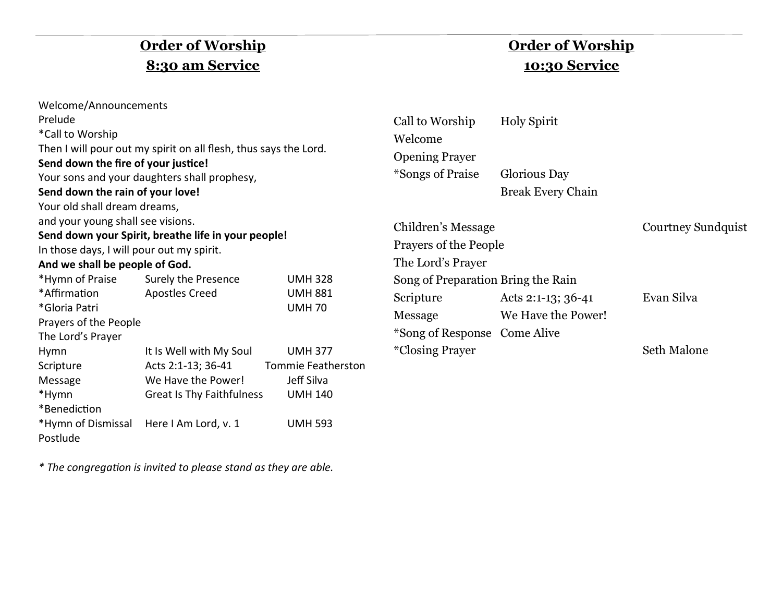## **Order of Worship 8:30 am Service**

| Welcome/Announcements                               |                                                                  |                           |  |  |  |
|-----------------------------------------------------|------------------------------------------------------------------|---------------------------|--|--|--|
| Prelude                                             |                                                                  |                           |  |  |  |
| *Call to Worship                                    |                                                                  |                           |  |  |  |
|                                                     | Then I will pour out my spirit on all flesh, thus says the Lord. |                           |  |  |  |
| Send down the fire of your justice!                 |                                                                  |                           |  |  |  |
|                                                     | Your sons and your daughters shall prophesy,                     |                           |  |  |  |
| Send down the rain of your love!                    |                                                                  |                           |  |  |  |
| Your old shall dream dreams,                        |                                                                  |                           |  |  |  |
| and your young shall see visions.                   |                                                                  |                           |  |  |  |
| Send down your Spirit, breathe life in your people! |                                                                  |                           |  |  |  |
| In those days, I will pour out my spirit.           |                                                                  |                           |  |  |  |
| And we shall be people of God.                      |                                                                  |                           |  |  |  |
| *Hymn of Praise Surely the Presence                 |                                                                  | <b>UMH328</b>             |  |  |  |
| *Affirmation                                        | <b>Apostles Creed</b>                                            | <b>UMH 881</b>            |  |  |  |
| *Gloria Patri                                       |                                                                  | <b>UMH70</b>              |  |  |  |
| Prayers of the People                               |                                                                  |                           |  |  |  |
| The Lord's Prayer                                   |                                                                  |                           |  |  |  |
| Hymn                                                | It Is Well with My Soul                                          | <b>UMH 377</b>            |  |  |  |
| Scripture                                           | Acts 2:1-13; 36-41                                               | <b>Tommie Featherston</b> |  |  |  |
| Message                                             | We Have the Power!                                               | Jeff Silva                |  |  |  |
| *Hymn                                               | Great Is Thy Faithfulness<br><b>UMH 140</b>                      |                           |  |  |  |
| *Benediction                                        |                                                                  |                           |  |  |  |
|                                                     | *Hymn of Dismissal Here I Am Lord, v. 1<br><b>UMH 593</b>        |                           |  |  |  |
| Postlude                                            |                                                                  |                           |  |  |  |

*\* The congregation is invited to please stand as they are able.*

### **Order of Worship 10:30 Service**

| Call to Worship       | <b>Holy Spirit</b>       |
|-----------------------|--------------------------|
| Welcome               |                          |
| <b>Opening Prayer</b> |                          |
| *Songs of Praise      | Glorious Day             |
|                       | <b>Break Every Chain</b> |
|                       |                          |

| Children's Message                 |                    | <b>Courtney Sundquist</b> |
|------------------------------------|--------------------|---------------------------|
| <b>Prayers of the People</b>       |                    |                           |
| The Lord's Prayer                  |                    |                           |
| Song of Preparation Bring the Rain |                    |                           |
| Scripture                          | Acts 2:1-13; 36-41 | Evan Silva                |
| Message                            | We Have the Power! |                           |
| *Song of Response Come Alive       |                    |                           |
| <i>*Closing Prayer</i>             |                    | Seth Malone               |
|                                    |                    |                           |